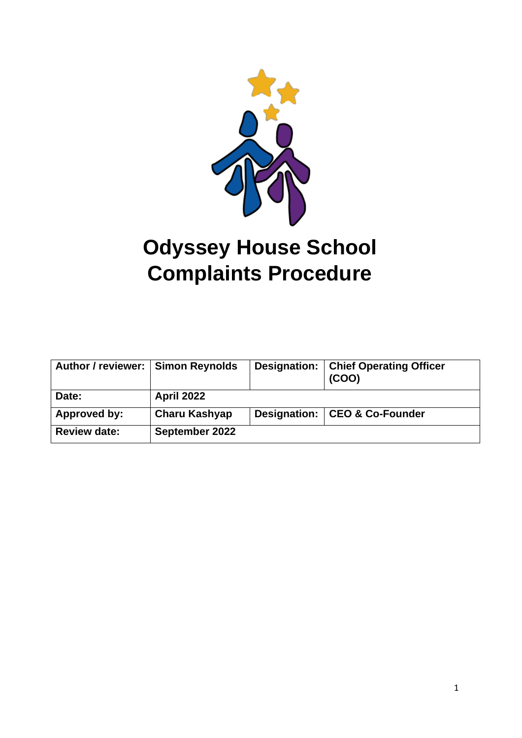

# **Odyssey House School Complaints Procedure**

| Author / reviewer:   Simon Reynolds |                   | Designation:   Chief Operating Officer<br>(COO) |
|-------------------------------------|-------------------|-------------------------------------------------|
| Date:                               | <b>April 2022</b> |                                                 |
| Approved by:                        | Charu Kashyap     | Designation:   CEO & Co-Founder                 |
| <b>Review date:</b>                 | September 2022    |                                                 |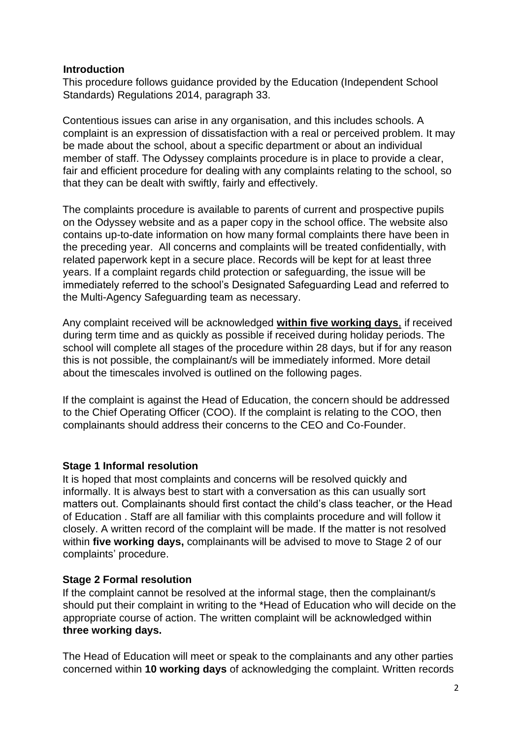#### **Introduction**

This procedure follows guidance provided by the Education (Independent School Standards) Regulations 2014, paragraph 33.

Contentious issues can arise in any organisation, and this includes schools. A complaint is an expression of dissatisfaction with a real or perceived problem. It may be made about the school, about a specific department or about an individual member of staff. The Odyssey complaints procedure is in place to provide a clear, fair and efficient procedure for dealing with any complaints relating to the school, so that they can be dealt with swiftly, fairly and effectively.

The complaints procedure is available to parents of current and prospective pupils on the Odyssey website and as a paper copy in the school office. The website also contains up-to-date information on how many formal complaints there have been in the preceding year. All concerns and complaints will be treated confidentially, with related paperwork kept in a secure place. Records will be kept for at least three years. If a complaint regards child protection or safeguarding, the issue will be immediately referred to the school's Designated Safeguarding Lead and referred to the Multi-Agency Safeguarding team as necessary.

Any complaint received will be acknowledged **within five working days**, if received during term time and as quickly as possible if received during holiday periods. The school will complete all stages of the procedure within 28 days, but if for any reason this is not possible, the complainant/s will be immediately informed. More detail about the timescales involved is outlined on the following pages.

If the complaint is against the Head of Education, the concern should be addressed to the Chief Operating Officer (COO). If the complaint is relating to the COO, then complainants should address their concerns to the CEO and Co-Founder.

### **Stage 1 Informal resolution**

It is hoped that most complaints and concerns will be resolved quickly and informally. It is always best to start with a conversation as this can usually sort matters out. Complainants should first contact the child's class teacher, or the Head of Education . Staff are all familiar with this complaints procedure and will follow it closely. A written record of the complaint will be made. If the matter is not resolved within **five working days,** complainants will be advised to move to Stage 2 of our complaints' procedure.

### **Stage 2 Formal resolution**

If the complaint cannot be resolved at the informal stage, then the complainant/s should put their complaint in writing to the \*Head of Education who will decide on the appropriate course of action. The written complaint will be acknowledged within **three working days.** 

The Head of Education will meet or speak to the complainants and any other parties concerned within **10 working days** of acknowledging the complaint. Written records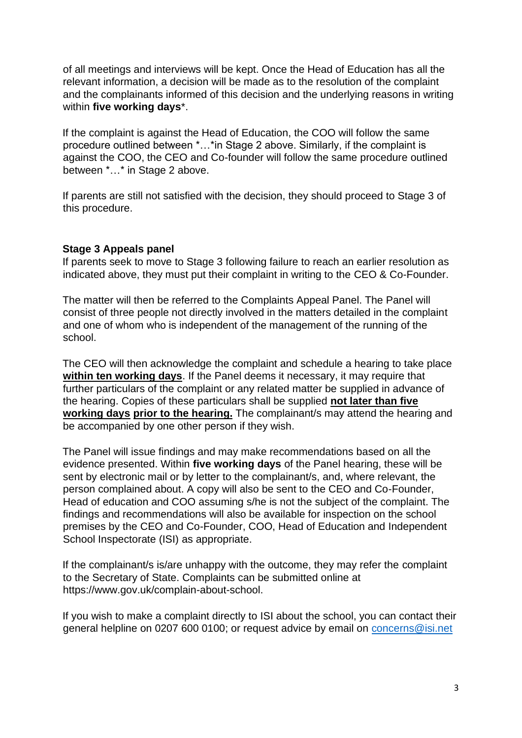of all meetings and interviews will be kept. Once the Head of Education has all the relevant information, a decision will be made as to the resolution of the complaint and the complainants informed of this decision and the underlying reasons in writing within **five working days**\*.

If the complaint is against the Head of Education, the COO will follow the same procedure outlined between \*…\*in Stage 2 above. Similarly, if the complaint is against the COO, the CEO and Co-founder will follow the same procedure outlined between \*…\* in Stage 2 above.

If parents are still not satisfied with the decision, they should proceed to Stage 3 of this procedure.

## **Stage 3 Appeals panel**

If parents seek to move to Stage 3 following failure to reach an earlier resolution as indicated above, they must put their complaint in writing to the CEO & Co-Founder.

The matter will then be referred to the Complaints Appeal Panel. The Panel will consist of three people not directly involved in the matters detailed in the complaint and one of whom who is independent of the management of the running of the school.

The CEO will then acknowledge the complaint and schedule a hearing to take place **within ten working days**. If the Panel deems it necessary, it may require that further particulars of the complaint or any related matter be supplied in advance of the hearing. Copies of these particulars shall be supplied **not later than five working days prior to the hearing.** The complainant/s may attend the hearing and be accompanied by one other person if they wish.

The Panel will issue findings and may make recommendations based on all the evidence presented. Within **five working days** of the Panel hearing, these will be sent by electronic mail or by letter to the complainant/s, and, where relevant, the person complained about. A copy will also be sent to the CEO and Co-Founder, Head of education and COO assuming s/he is not the subject of the complaint. The findings and recommendations will also be available for inspection on the school premises by the CEO and Co-Founder, COO, Head of Education and Independent School Inspectorate (ISI) as appropriate.

If the complainant/s is/are unhappy with the outcome, they may refer the complaint to the Secretary of State. Complaints can be submitted online at https://www.gov.uk/complain-about-school.

If you wish to make a complaint directly to ISI about the school, you can contact their general helpline on 0207 600 0100; or request advice by email on [concerns@isi.net](mailto:concerns@isi.net)